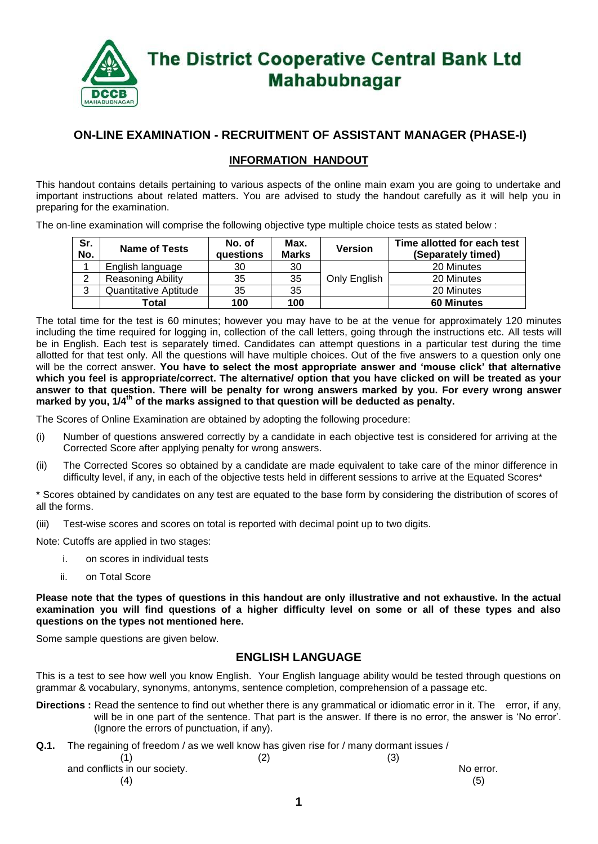

### **ON-LINE EXAMINATION - RECRUITMENT OF ASSISTANT MANAGER (PHASE-I)**

#### **INFORMATION HANDOUT**

This handout contains details pertaining to various aspects of the online main exam you are going to undertake and important instructions about related matters. You are advised to study the handout carefully as it will help you in preparing for the examination.

The on-line examination will comprise the following objective type multiple choice tests as stated below :

| Sr.<br>No.    | <b>Name of Tests</b>     | No. of<br>questions | Max.<br><b>Marks</b> | <b>Version</b> | Time allotted for each test<br>(Separately timed) |  |  |  |
|---------------|--------------------------|---------------------|----------------------|----------------|---------------------------------------------------|--|--|--|
|               | English language         | 30                  | 30                   |                | 20 Minutes                                        |  |  |  |
|               | <b>Reasoning Ability</b> | 35                  | 35                   | Only English   | 20 Minutes                                        |  |  |  |
| <u>ົ</u><br>Ő | Quantitative Aptitude    | 35                  | 35                   |                | 20 Minutes                                        |  |  |  |
|               | Total                    | 100                 | 100                  |                | <b>60 Minutes</b>                                 |  |  |  |

The total time for the test is 60 minutes; however you may have to be at the venue for approximately 120 minutes including the time required for logging in, collection of the call letters, going through the instructions etc. All tests will be in English. Each test is separately timed. Candidates can attempt questions in a particular test during the time allotted for that test only. All the questions will have multiple choices. Out of the five answers to a question only one will be the correct answer. **You have to select the most appropriate answer and 'mouse click' that alternative which you feel is appropriate/correct. The alternative/ option that you have clicked on will be treated as your answer to that question. There will be penalty for wrong answers marked by you. For every wrong answer marked by you, 1/4th of the marks assigned to that question will be deducted as penalty.**

The Scores of Online Examination are obtained by adopting the following procedure:

- (i) Number of questions answered correctly by a candidate in each objective test is considered for arriving at the Corrected Score after applying penalty for wrong answers.
- (ii) The Corrected Scores so obtained by a candidate are made equivalent to take care of the minor difference in difficulty level, if any, in each of the objective tests held in different sessions to arrive at the Equated Scores\*

\* Scores obtained by candidates on any test are equated to the base form by considering the distribution of scores of all the forms.

(iii) Test-wise scores and scores on total is reported with decimal point up to two digits.

Note: Cutoffs are applied in two stages:

- i. on scores in individual tests
- ii. on Total Score

**Please note that the types of questions in this handout are only illustrative and not exhaustive. In the actual examination you will find questions of a higher difficulty level on some or all of these types and also questions on the types not mentioned here.**

Some sample questions are given below.

### **ENGLISH LANGUAGE**

This is a test to see how well you know English. Your English language ability would be tested through questions on grammar & vocabulary, synonyms, antonyms, sentence completion, comprehension of a passage etc.

- **Directions :** Read the sentence to find out whether there is any grammatical or idiomatic error in it. The error, if any, will be in one part of the sentence. That part is the answer. If there is no error, the answer is 'No error'. (Ignore the errors of punctuation, if any).
- **Q.1.** The regaining of freedom / as we well know has given rise for / many dormant issues /

|                               | ا کا | (3) |           |
|-------------------------------|------|-----|-----------|
| and conflicts in our society. |      |     | No error. |
| (4)                           |      |     | (5)       |
|                               |      |     |           |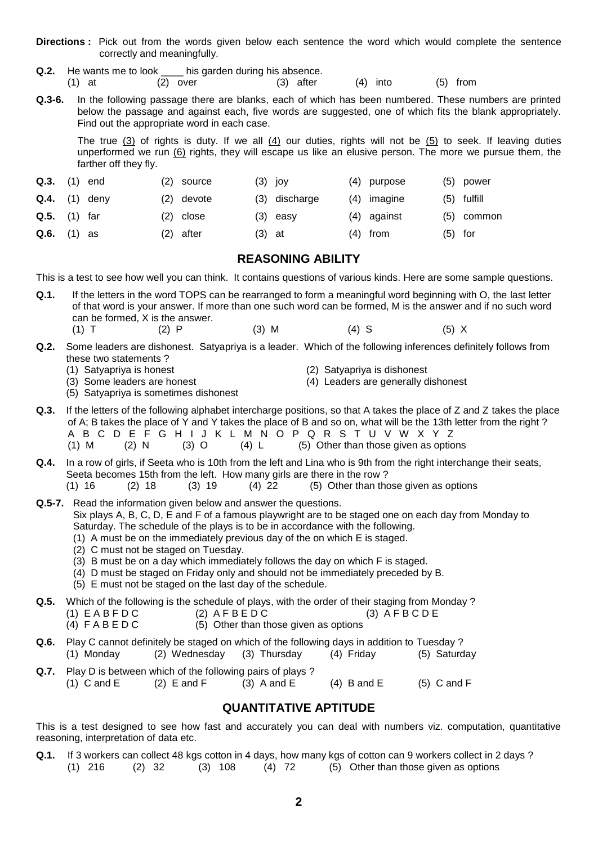- **Directions :** Pick out from the words given below each sentence the word which would complete the sentence correctly and meaningfully.
- **Q.2.** He wants me to look \_\_\_\_ his garden during his absence. (1) at (2) over (3) after (4) into (5) from
- **Q.3-6.** In the following passage there are blanks, each of which has been numbered. These numbers are printed below the passage and against each, five words are suggested, one of which fits the blank appropriately. Find out the appropriate word in each case.

The true (3) of rights is duty. If we all (4) our duties, rights will not be (5) to seek. If leaving duties unperformed we run (6) rights, they will escape us like an elusive person. The more we pursue them, the farther off they fly.

| $Q.3.$ (1) end       |  | (2) source  |          | $(3)$ joy     | (4) purpose   |           | $(5)$ power   |
|----------------------|--|-------------|----------|---------------|---------------|-----------|---------------|
| $Q.4.$ (1) deny      |  | (2) devote  |          | (3) discharge | $(4)$ imagine |           | $(5)$ fulfill |
| $Q.5.$ (1) far       |  | $(2)$ close |          | $(3)$ easy    | $(4)$ against |           | $(5)$ common  |
| <b>Q.6.</b> $(1)$ as |  | (2) after   | $(3)$ at |               | $(4)$ from    | $(5)$ for |               |

#### **REASONING ABILITY**

This is a test to see how well you can think. It contains questions of various kinds. Here are some sample questions.

- **Q.1.** If the letters in the word TOPS can be rearranged to form a meaningful word beginning with O, the last letter of that word is your answer. If more than one such word can be formed, M is the answer and if no such word can be formed, X is the answer. (1) T (2) P (3) M (4) S (5) X
- **Q.2.** Some leaders are dishonest. Satyapriya is a leader. Which of the following inferences definitely follows from these two statements ?<br>(1) Satyapriya is honest
	-
- 
- (1) Satyapriya is honest (2) Satyapriya is dishonest
	- $(4)$  Leaders are generally dishonest
- (5) Satyapriya is sometimes dishonest
- **Q.3.** If the letters of the following alphabet intercharge positions, so that A takes the place of Z and Z takes the place of A; B takes the place of Y and Y takes the place of B and so on, what will be the 13th letter from the right ? A B C D E F G H I J K L M N O P Q R S T U V W X Y Z (1) M (2) N (3) O (4) L (5) Other than those given as options
- **Q.4.** In a row of girls, if Seeta who is 10th from the left and Lina who is 9th from the right interchange their seats, Seeta becomes 15th from the left. How many girls are there in the row ?  $(1)$  16  $(2)$  18  $(3)$  19  $(4)$  22  $(5)$  Other than those given as options

**Q.5-7.** Read the information given below and answer the questions. Six plays A, B, C, D, E and F of a famous playwright are to be staged one on each day from Monday to Saturday. The schedule of the plays is to be in accordance with the following. (1) A must be on the immediately previous day of the on which E is staged.

- (2) C must not be staged on Tuesday.
- (3) B must be on a day which immediately follows the day on which F is staged.
- (4) D must be staged on Friday only and should not be immediately preceded by B.
- (5) E must not be staged on the last day of the schedule.

**Q.5.** Which of the following is the schedule of plays, with the order of their staging from Monday ?

- (1)  $E$  A B F D C (2)  $A$  F B E D C (3)  $\overline{A}$  F B C D E
- (4)  $F \wedge B \wedge D$  C (5) Other than those given as options
- **Q.6.** Play C cannot definitely be staged on which of the following days in addition to Tuesday ? (1) Monday (2) Wednesday (3) Thursday (4) Friday (5) Saturday
- **Q.7.** Play D is between which of the following pairs of plays ? (1) C and E (2) E and F (3) A and E (4) B and E (5) C and F

# **QUANTITATIVE APTITUDE**

This is a test designed to see how fast and accurately you can deal with numbers viz. computation, quantitative reasoning, interpretation of data etc.

**Q.1.** If 3 workers can collect 48 kgs cotton in 4 days, how many kgs of cotton can 9 workers collect in 2 days ? (1) 216 (2) 32 (3) 108 (4) 72 (5) Other than those given as options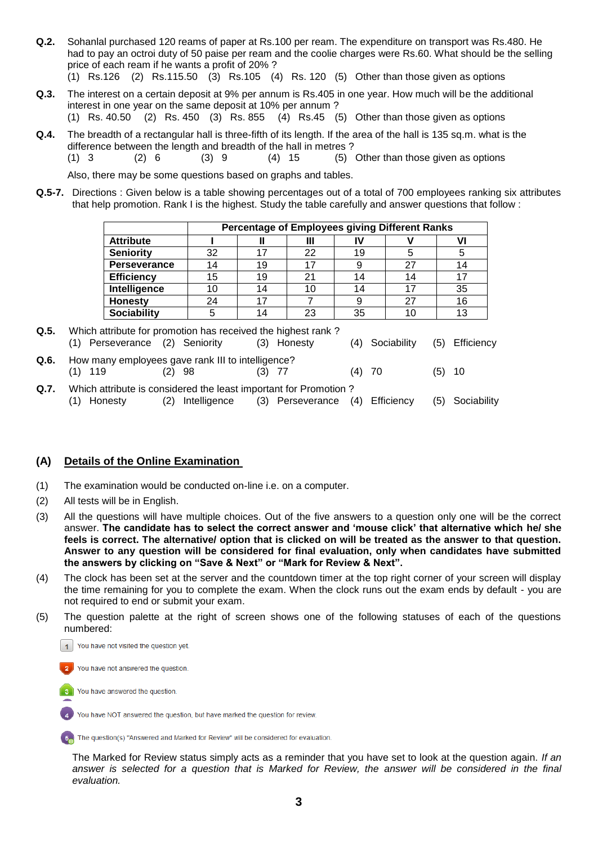- **Q.2.** Sohanlal purchased 120 reams of paper at Rs.100 per ream. The expenditure on transport was Rs.480. He had to pay an octroi duty of 50 paise per ream and the coolie charges were Rs.60. What should be the selling price of each ream if he wants a profit of 20% ? (1) Rs.126 (2) Rs.115.50 (3) Rs.105 (4) Rs. 120 (5) Other than those given as options
- **Q.3.** The interest on a certain deposit at 9% per annum is Rs.405 in one year. How much will be the additional interest in one year on the same deposit at 10% per annum ?
	- (1) Rs. 40.50 (2) Rs. 450 (3) Rs. 855 (4) Rs.45 (5) Other than those given as options
- **Q.4.** The breadth of a rectangular hall is three-fifth of its length. If the area of the hall is 135 sq.m. what is the difference between the length and breadth of the hall in metres ?
	- $(1)$  3  $(2)$  6  $(3)$  9  $(4)$  15  $(5)$  Other than those given as options

Also, there may be some questions based on graphs and tables.

**Q.5-7.** Directions : Given below is a table showing percentages out of a total of 700 employees ranking six attributes that help promotion. Rank I is the highest. Study the table carefully and answer questions that follow :

|                     | <b>Percentage of Employees giving Different Ranks</b> |    |    |    |    |    |  |  |
|---------------------|-------------------------------------------------------|----|----|----|----|----|--|--|
| <b>Attribute</b>    |                                                       |    | Ш  |    |    |    |  |  |
| <b>Seniority</b>    | 32                                                    |    | 22 | 19 |    |    |  |  |
| <b>Perseverance</b> |                                                       | 19 | 17 |    | 27 | 14 |  |  |
| <b>Efficiency</b>   | 15                                                    | 19 | 21 | 14 | 14 |    |  |  |
| Intelligence        |                                                       | 14 | 10 | 14 | 17 | 35 |  |  |
| <b>Honesty</b>      | 24                                                    |    |    |    | 27 | 16 |  |  |
| <b>Sociability</b>  |                                                       |    | 23 | 35 | 10 | 13 |  |  |

- **Q.5.** Which attribute for promotion has received the highest rank ? (1) Perseverance (2) Seniority (3) Honesty (4) Sociability (5) Efficiency **Q.6.** How many employees gave rank III to intelligence? (1) 119 (2) 98 (3) 77 (4) 70 (5) 10 **Q.7.** Which attribute is considered the least important for Promotion ?
- (1) Honesty (2) Intelligence (3) Perseverance (4) Efficiency (5) Sociability

#### **(A) Details of the Online Examination**

- (1) The examination would be conducted on-line i.e. on a computer.
- (2) All tests will be in English.
- (3) All the questions will have multiple choices. Out of the five answers to a question only one will be the correct answer. **The candidate has to select the correct answer and 'mouse click' that alternative which he/ she feels is correct. The alternative/ option that is clicked on will be treated as the answer to that question. Answer to any question will be considered for final evaluation, only when candidates have submitted the answers by clicking on "Save & Next" or "Mark for Review & Next".**
- (4) The clock has been set at the server and the countdown timer at the top right corner of your screen will display the time remaining for you to complete the exam. When the clock runs out the exam ends by default - you are not required to end or submit your exam.
- (5) The question palette at the right of screen shows one of the following statuses of each of the questions numbered:



You have not answered the question



You have NOT answered the question, but have marked the question for review.

5. The question(s) "Answered and Marked for Review" will be considered for evaluation.

The Marked for Review status simply acts as a reminder that you have set to look at the question again. *If an*  answer is selected for a question that is Marked for Review, the answer will be considered in the final *evaluation.*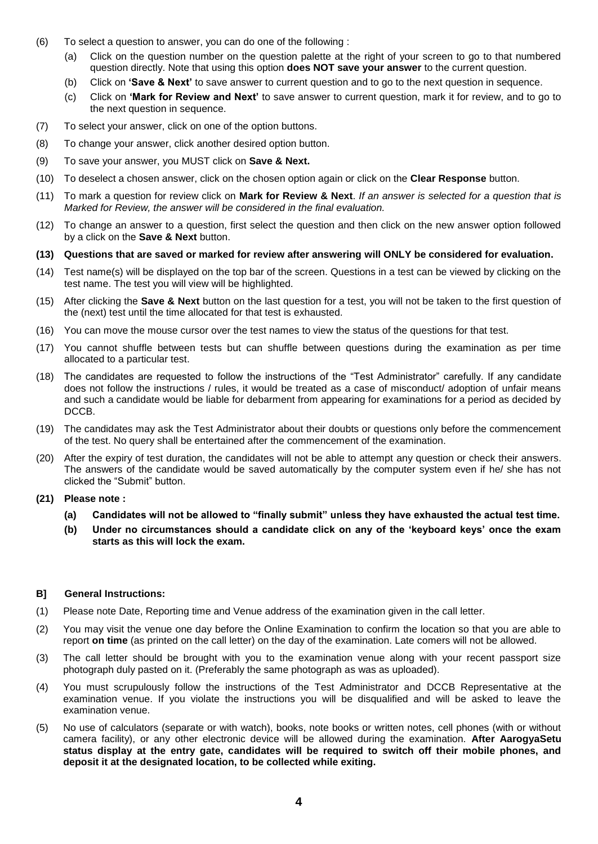- (6) To select a question to answer, you can do one of the following :
	- (a) Click on the question number on the question palette at the right of your screen to go to that numbered question directly. Note that using this option **does NOT save your answer** to the current question.
	- (b) Click on **'Save & Next'** to save answer to current question and to go to the next question in sequence.
	- (c) Click on **'Mark for Review and Next'** to save answer to current question, mark it for review, and to go to the next question in sequence.
- (7) To select your answer, click on one of the option buttons.
- (8) To change your answer, click another desired option button.
- (9) To save your answer, you MUST click on **Save & Next.**
- (10) To deselect a chosen answer, click on the chosen option again or click on the **Clear Response** button.
- (11) To mark a question for review click on **Mark for Review & Next**. *If an answer is selected for a question that is Marked for Review, the answer will be considered in the final evaluation.*
- (12) To change an answer to a question, first select the question and then click on the new answer option followed by a click on the **Save & Next** button.
- **(13) Questions that are saved or marked for review after answering will ONLY be considered for evaluation.**
- (14) Test name(s) will be displayed on the top bar of the screen. Questions in a test can be viewed by clicking on the test name. The test you will view will be highlighted.
- (15) After clicking the **Save & Next** button on the last question for a test, you will not be taken to the first question of the (next) test until the time allocated for that test is exhausted.
- (16) You can move the mouse cursor over the test names to view the status of the questions for that test.
- (17) You cannot shuffle between tests but can shuffle between questions during the examination as per time allocated to a particular test.
- (18) The candidates are requested to follow the instructions of the "Test Administrator" carefully. If any candidate does not follow the instructions / rules, it would be treated as a case of misconduct/ adoption of unfair means and such a candidate would be liable for debarment from appearing for examinations for a period as decided by DCCB.
- (19) The candidates may ask the Test Administrator about their doubts or questions only before the commencement of the test. No query shall be entertained after the commencement of the examination.
- (20) After the expiry of test duration, the candidates will not be able to attempt any question or check their answers. The answers of the candidate would be saved automatically by the computer system even if he/ she has not clicked the "Submit" button.
- **(21) Please note :**
	- **(a) Candidates will not be allowed to "finally submit" unless they have exhausted the actual test time.**
	- **(b) Under no circumstances should a candidate click on any of the 'keyboard keys' once the exam starts as this will lock the exam.**

#### **B] General Instructions:**

- (1) Please note Date, Reporting time and Venue address of the examination given in the call letter.
- (2) You may visit the venue one day before the Online Examination to confirm the location so that you are able to report **on time** (as printed on the call letter) on the day of the examination. Late comers will not be allowed.
- (3) The call letter should be brought with you to the examination venue along with your recent passport size photograph duly pasted on it. (Preferably the same photograph as was as uploaded).
- (4) You must scrupulously follow the instructions of the Test Administrator and DCCB Representative at the examination venue. If you violate the instructions you will be disqualified and will be asked to leave the examination venue.
- (5) No use of calculators (separate or with watch), books, note books or written notes, cell phones (with or without camera facility), or any other electronic device will be allowed during the examination. **After AarogyaSetu status display at the entry gate, candidates will be required to switch off their mobile phones, and deposit it at the designated location, to be collected while exiting.**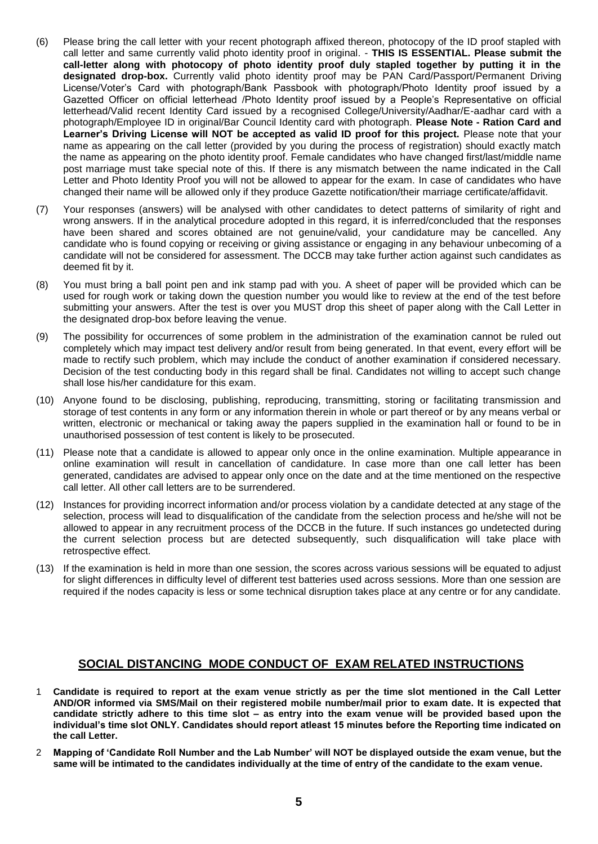- (6) Please bring the call letter with your recent photograph affixed thereon, photocopy of the ID proof stapled with call letter and same currently valid photo identity proof in original. - **THIS IS ESSENTIAL. Please submit the call-letter along with photocopy of photo identity proof duly stapled together by putting it in the designated drop-box.** Currently valid photo identity proof may be PAN Card/Passport/Permanent Driving License/Voter's Card with photograph/Bank Passbook with photograph/Photo Identity proof issued by a Gazetted Officer on official letterhead /Photo Identity proof issued by a People's Representative on official letterhead/Valid recent Identity Card issued by a recognised College/University/Aadhar/E-aadhar card with a photograph/Employee ID in original/Bar Council Identity card with photograph. **Please Note - Ration Card and Learner's Driving License will NOT be accepted as valid ID proof for this project.** Please note that your name as appearing on the call letter (provided by you during the process of registration) should exactly match the name as appearing on the photo identity proof. Female candidates who have changed first/last/middle name post marriage must take special note of this. If there is any mismatch between the name indicated in the Call Letter and Photo Identity Proof you will not be allowed to appear for the exam. In case of candidates who have changed their name will be allowed only if they produce Gazette notification/their marriage certificate/affidavit.
- (7) Your responses (answers) will be analysed with other candidates to detect patterns of similarity of right and wrong answers. If in the analytical procedure adopted in this regard, it is inferred/concluded that the responses have been shared and scores obtained are not genuine/valid, your candidature may be cancelled. Any candidate who is found copying or receiving or giving assistance or engaging in any behaviour unbecoming of a candidate will not be considered for assessment. The DCCB may take further action against such candidates as deemed fit by it.
- (8) You must bring a ball point pen and ink stamp pad with you. A sheet of paper will be provided which can be used for rough work or taking down the question number you would like to review at the end of the test before submitting your answers. After the test is over you MUST drop this sheet of paper along with the Call Letter in the designated drop-box before leaving the venue.
- (9) The possibility for occurrences of some problem in the administration of the examination cannot be ruled out completely which may impact test delivery and/or result from being generated. In that event, every effort will be made to rectify such problem, which may include the conduct of another examination if considered necessary. Decision of the test conducting body in this regard shall be final. Candidates not willing to accept such change shall lose his/her candidature for this exam.
- (10) Anyone found to be disclosing, publishing, reproducing, transmitting, storing or facilitating transmission and storage of test contents in any form or any information therein in whole or part thereof or by any means verbal or written, electronic or mechanical or taking away the papers supplied in the examination hall or found to be in unauthorised possession of test content is likely to be prosecuted.
- (11) Please note that a candidate is allowed to appear only once in the online examination. Multiple appearance in online examination will result in cancellation of candidature. In case more than one call letter has been generated, candidates are advised to appear only once on the date and at the time mentioned on the respective call letter. All other call letters are to be surrendered.
- (12) Instances for providing incorrect information and/or process violation by a candidate detected at any stage of the selection, process will lead to disqualification of the candidate from the selection process and he/she will not be allowed to appear in any recruitment process of the DCCB in the future. If such instances go undetected during the current selection process but are detected subsequently, such disqualification will take place with retrospective effect.
- (13) If the examination is held in more than one session, the scores across various sessions will be equated to adjust for slight differences in difficulty level of different test batteries used across sessions. More than one session are required if the nodes capacity is less or some technical disruption takes place at any centre or for any candidate.

# **SOCIAL DISTANCING MODE CONDUCT OF EXAM RELATED INSTRUCTIONS**

- 1 **Candidate is required to report at the exam venue strictly as per the time slot mentioned in the Call Letter AND/OR informed via SMS/Mail on their registered mobile number/mail prior to exam date. It is expected that candidate strictly adhere to this time slot – as entry into the exam venue will be provided based upon the individual's time slot ONLY. Candidates should report atleast 15 minutes before the Reporting time indicated on the call Letter.**
- 2 **Mapping of 'Candidate Roll Number and the Lab Number' will NOT be displayed outside the exam venue, but the same will be intimated to the candidates individually at the time of entry of the candidate to the exam venue.**